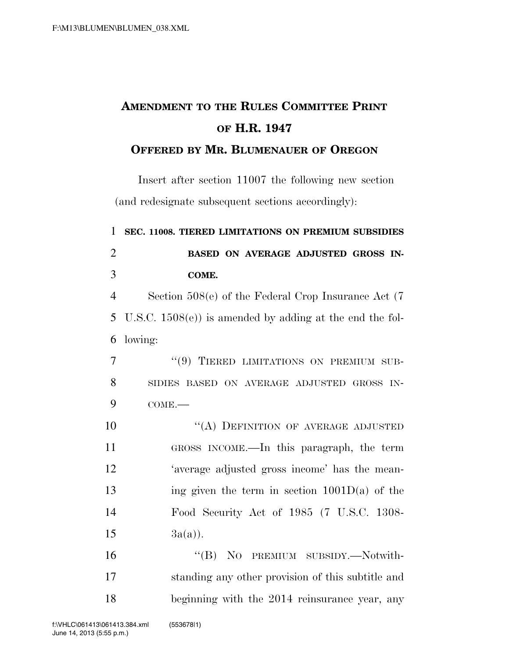## **AMENDMENT TO THE RULES COMMITTEE PRINT OF H.R. 1947**

## **OFFERED BY MR. BLUMENAUER OF OREGON**

Insert after section 11007 the following new section (and redesignate subsequent sections accordingly):

| $\mathbf{1}$   | SEC. 11008. TIERED LIMITATIONS ON PREMIUM SUBSIDIES         |
|----------------|-------------------------------------------------------------|
| $\overline{2}$ | BASED ON AVERAGE ADJUSTED GROSS IN-                         |
| 3              | COME.                                                       |
| $\overline{4}$ | Section $508(e)$ of the Federal Crop Insurance Act (7)      |
| 5              | U.S.C. $1508(e)$ ) is amended by adding at the end the fol- |
| 6              | lowing:                                                     |
| 7              | "(9) TIERED LIMITATIONS ON PREMIUM SUB-                     |
| 8              | SIDIES BASED ON AVERAGE ADJUSTED GROSS IN-                  |
| 9              | $COME$ .                                                    |
| 10             | "(A) DEFINITION OF AVERAGE ADJUSTED                         |
| 11             | GROSS INCOME.—In this paragraph, the term                   |
| 12             | 'average adjusted gross income' has the mean-               |
| 13             | ing given the term in section $1001D(a)$ of the             |
| 14             | Food Security Act of 1985 (7 U.S.C. 1308-                   |
| 15             | $3a(a)$ .                                                   |
| 16             | "(B) NO PREMIUM SUBSIDY.—Notwith-                           |
| 17             | standing any other provision of this subtitle and           |
|                |                                                             |

18 beginning with the 2014 reinsurance year, any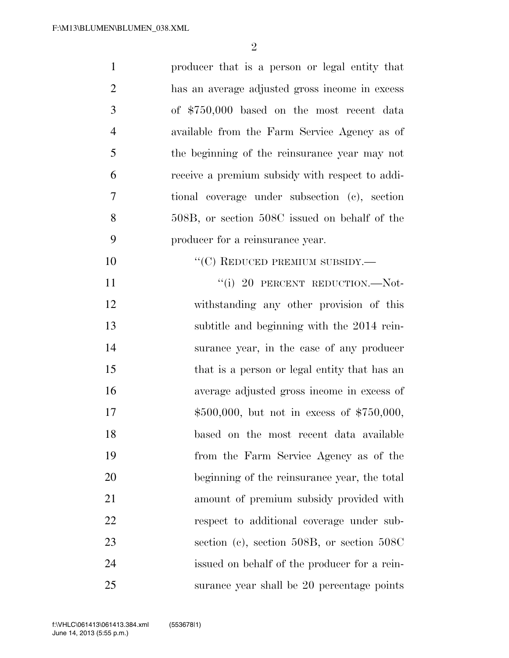| $\mathbf{1}$   | producer that is a person or legal entity that  |
|----------------|-------------------------------------------------|
| $\overline{2}$ | has an average adjusted gross income in excess  |
| 3              | of \$750,000 based on the most recent data      |
| $\overline{4}$ | available from the Farm Service Agency as of    |
| 5              | the beginning of the reinsurance year may not   |
| 6              | receive a premium subsidy with respect to addi- |
| 7              | tional coverage under subsection (c), section   |
| 8              | 508B, or section 508C issued on behalf of the   |
| 9              | producer for a reinsurance year.                |
| 10             | "(C) REDUCED PREMIUM SUBSIDY.—                  |
| 11             | "(i) 20 PERCENT REDUCTION.--Not-                |
| 12             | withstanding any other provision of this        |
| 13             | subtitle and beginning with the 2014 rein-      |
| 14             | surance year, in the case of any producer       |
| 15             | that is a person or legal entity that has an    |
| 16             | average adjusted gross income in excess of      |
| 17             | $$500,000$ , but not in excess of $$750,000$ ,  |
| 18             | based on the most recent data available         |
| 19             | from the Farm Service Agency as of the          |
| 20             | beginning of the reinsurance year, the total    |
| 21             | amount of premium subsidy provided with         |
| 22             | respect to additional coverage under sub-       |
| 23             | section (c), section 508B, or section $508C$    |
| 24             | issued on behalf of the producer for a rein-    |
| 25             | surance year shall be 20 percentage points      |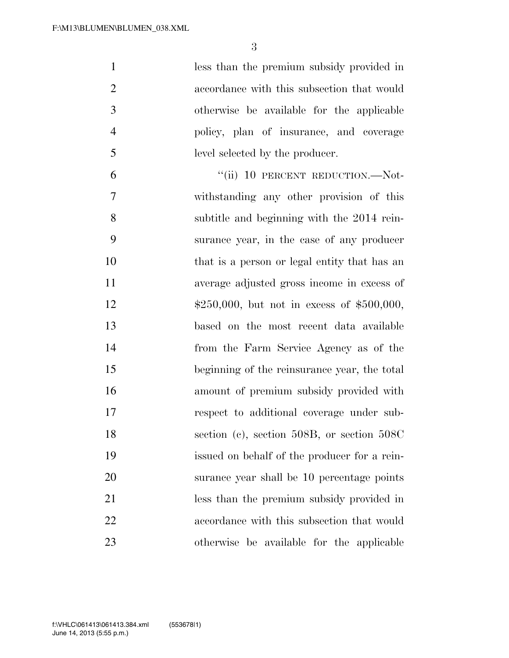less than the premium subsidy provided in accordance with this subsection that would otherwise be available for the applicable policy, plan of insurance, and coverage level selected by the producer.

6 "(ii) 10 PERCENT REDUCTION.—Not- withstanding any other provision of this subtitle and beginning with the 2014 rein- surance year, in the case of any producer 10 that is a person or legal entity that has an average adjusted gross income in excess of 12 \$250,000, but not in excess of \$500,000, based on the most recent data available from the Farm Service Agency as of the beginning of the reinsurance year, the total amount of premium subsidy provided with respect to additional coverage under sub-18 section (c), section 508B, or section 508C issued on behalf of the producer for a rein- surance year shall be 10 percentage points less than the premium subsidy provided in accordance with this subsection that would otherwise be available for the applicable